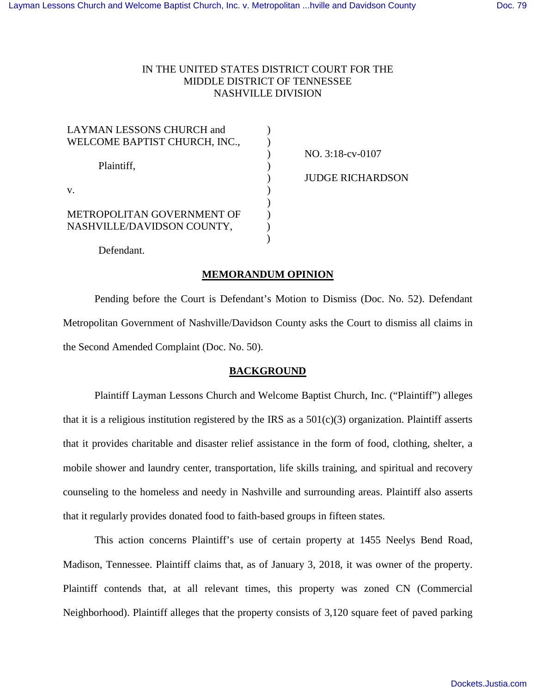# IN THE UNITED STATES DISTRICT COURT FOR THE MIDDLE DISTRICT OF TENNESSEE NASHVILLE DIVISION

| LAYMAN LESSONS CHURCH and     |  |
|-------------------------------|--|
| WELCOME BAPTIST CHURCH, INC., |  |
|                               |  |
| Plaintiff,                    |  |
|                               |  |
| V.                            |  |
|                               |  |
| METROPOLITAN GOVERNMENT OF    |  |
| NASHVILLE/DAVIDSON COUNTY,    |  |
|                               |  |
|                               |  |

NO. 3:18-cv-0107 JUDGE RICHARDSON

Defendant.

# **MEMORANDUM OPINION**

Pending before the Court is Defendant's Motion to Dismiss (Doc. No. 52). Defendant Metropolitan Government of Nashville/Davidson County asks the Court to dismiss all claims in the Second Amended Complaint (Doc. No. 50).

# **BACKGROUND**

Plaintiff Layman Lessons Church and Welcome Baptist Church, Inc. ("Plaintiff") alleges that it is a religious institution registered by the IRS as a  $501(c)(3)$  organization. Plaintiff asserts that it provides charitable and disaster relief assistance in the form of food, clothing, shelter, a mobile shower and laundry center, transportation, life skills training, and spiritual and recovery counseling to the homeless and needy in Nashville and surrounding areas. Plaintiff also asserts that it regularly provides donated food to faith-based groups in fifteen states.

This action concerns Plaintiff's use of certain property at 1455 Neelys Bend Road, Madison, Tennessee. Plaintiff claims that, as of January 3, 2018, it was owner of the property. Plaintiff contends that, at all relevant times, this property was zoned CN (Commercial Neighborhood). Plaintiff alleges that the property consists of 3,120 square feet of paved parking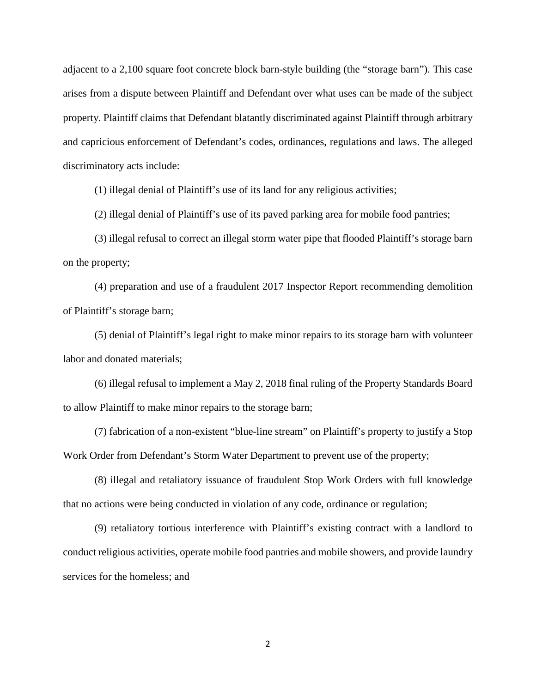adjacent to a 2,100 square foot concrete block barn-style building (the "storage barn"). This case arises from a dispute between Plaintiff and Defendant over what uses can be made of the subject property. Plaintiff claims that Defendant blatantly discriminated against Plaintiff through arbitrary and capricious enforcement of Defendant's codes, ordinances, regulations and laws. The alleged discriminatory acts include:

(1) illegal denial of Plaintiff's use of its land for any religious activities;

(2) illegal denial of Plaintiff's use of its paved parking area for mobile food pantries;

(3) illegal refusal to correct an illegal storm water pipe that flooded Plaintiff's storage barn on the property;

(4) preparation and use of a fraudulent 2017 Inspector Report recommending demolition of Plaintiff's storage barn;

(5) denial of Plaintiff's legal right to make minor repairs to its storage barn with volunteer labor and donated materials;

(6) illegal refusal to implement a May 2, 2018 final ruling of the Property Standards Board to allow Plaintiff to make minor repairs to the storage barn;

(7) fabrication of a non-existent "blue-line stream" on Plaintiff's property to justify a Stop Work Order from Defendant's Storm Water Department to prevent use of the property;

(8) illegal and retaliatory issuance of fraudulent Stop Work Orders with full knowledge that no actions were being conducted in violation of any code, ordinance or regulation;

(9) retaliatory tortious interference with Plaintiff's existing contract with a landlord to conduct religious activities, operate mobile food pantries and mobile showers, and provide laundry services for the homeless; and

2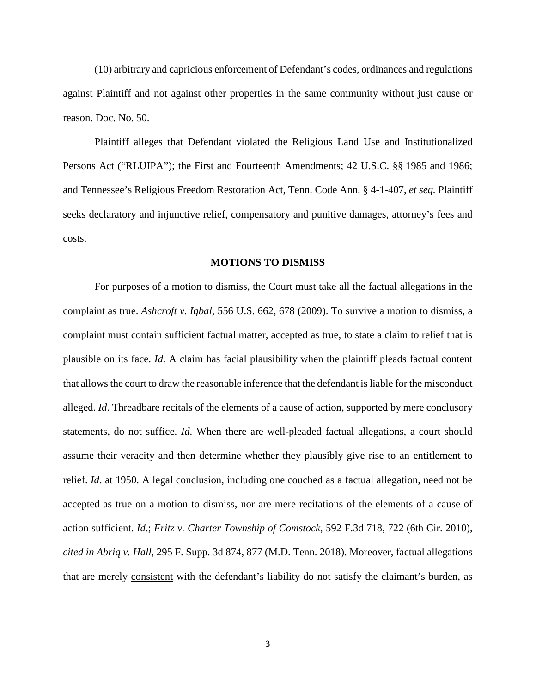(10) arbitrary and capricious enforcement of Defendant's codes, ordinances and regulations against Plaintiff and not against other properties in the same community without just cause or reason. Doc. No. 50.

Plaintiff alleges that Defendant violated the Religious Land Use and Institutionalized Persons Act ("RLUIPA"); the First and Fourteenth Amendments; 42 U.S.C. §§ 1985 and 1986; and Tennessee's Religious Freedom Restoration Act, Tenn. Code Ann. § 4-1-407, *et seq.* Plaintiff seeks declaratory and injunctive relief, compensatory and punitive damages, attorney's fees and costs.

### **MOTIONS TO DISMISS**

For purposes of a motion to dismiss, the Court must take all the factual allegations in the complaint as true. *Ashcroft v. Iqbal*, 556 U.S. 662, 678 (2009). To survive a motion to dismiss, a complaint must contain sufficient factual matter, accepted as true, to state a claim to relief that is plausible on its face. *Id*. A claim has facial plausibility when the plaintiff pleads factual content that allows the court to draw the reasonable inference that the defendant is liable for the misconduct alleged. *Id*. Threadbare recitals of the elements of a cause of action, supported by mere conclusory statements, do not suffice. *Id*. When there are well-pleaded factual allegations, a court should assume their veracity and then determine whether they plausibly give rise to an entitlement to relief. *Id*. at 1950. A legal conclusion, including one couched as a factual allegation, need not be accepted as true on a motion to dismiss, nor are mere recitations of the elements of a cause of action sufficient. *Id*.; *Fritz v. Charter Township of Comstock*, 592 F.3d 718, 722 (6th Cir. 2010), *cited in Abriq v. Hall*, 295 F. Supp. 3d 874, 877 (M.D. Tenn. 2018). Moreover, factual allegations that are merely consistent with the defendant's liability do not satisfy the claimant's burden, as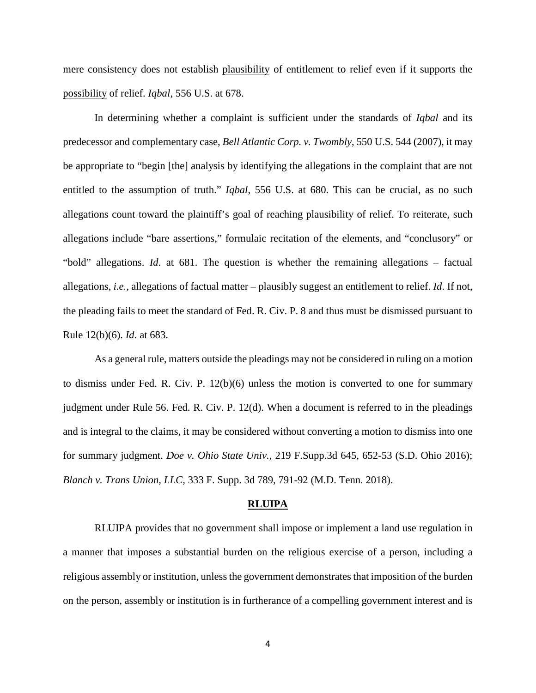mere consistency does not establish plausibility of entitlement to relief even if it supports the possibility of relief. *Iqbal*, 556 U.S. at 678.

In determining whether a complaint is sufficient under the standards of *Iqbal* and its predecessor and complementary case, *Bell Atlantic Corp. v. Twombly*, 550 U.S. 544 (2007), it may be appropriate to "begin [the] analysis by identifying the allegations in the complaint that are not entitled to the assumption of truth." *Iqbal*, 556 U.S. at 680. This can be crucial, as no such allegations count toward the plaintiff's goal of reaching plausibility of relief. To reiterate, such allegations include "bare assertions," formulaic recitation of the elements, and "conclusory" or "bold" allegations. *Id*. at 681. The question is whether the remaining allegations – factual allegations, *i.e.*, allegations of factual matter – plausibly suggest an entitlement to relief. *Id*. If not, the pleading fails to meet the standard of Fed. R. Civ. P. 8 and thus must be dismissed pursuant to Rule 12(b)(6). *Id*. at 683.

As a general rule, matters outside the pleadings may not be considered in ruling on a motion to dismiss under Fed. R. Civ. P. 12(b)(6) unless the motion is converted to one for summary judgment under Rule 56. Fed. R. Civ. P. 12(d). When a document is referred to in the pleadings and is integral to the claims, it may be considered without converting a motion to dismiss into one for summary judgment. *Doe v. Ohio State Univ.,* 219 F.Supp.3d 645, 652-53 (S.D. Ohio 2016); *Blanch v. Trans Union, LLC*, 333 F. Supp. 3d 789, 791-92 (M.D. Tenn. 2018).

#### **RLUIPA**

RLUIPA provides that no government shall impose or implement a land use regulation in a manner that imposes a substantial burden on the religious exercise of a person, including a religious assembly or institution, unless the government demonstrates that imposition of the burden on the person, assembly or institution is in furtherance of a compelling government interest and is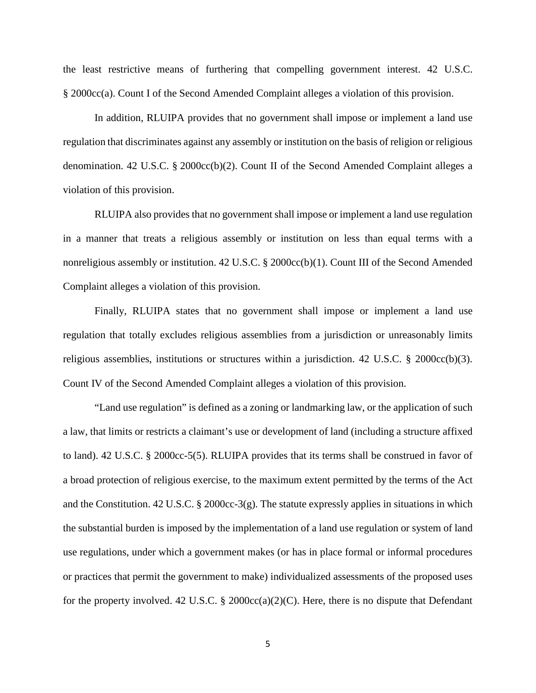the least restrictive means of furthering that compelling government interest. 42 U.S.C. § 2000cc(a). Count I of the Second Amended Complaint alleges a violation of this provision.

In addition, RLUIPA provides that no government shall impose or implement a land use regulation that discriminates against any assembly or institution on the basis of religion or religious denomination. 42 U.S.C. § 2000cc(b)(2). Count II of the Second Amended Complaint alleges a violation of this provision.

RLUIPA also provides that no government shall impose or implement a land use regulation in a manner that treats a religious assembly or institution on less than equal terms with a nonreligious assembly or institution. 42 U.S.C. § 2000cc(b)(1). Count III of the Second Amended Complaint alleges a violation of this provision.

Finally, RLUIPA states that no government shall impose or implement a land use regulation that totally excludes religious assemblies from a jurisdiction or unreasonably limits religious assemblies, institutions or structures within a jurisdiction. 42 U.S.C. § 2000cc(b)(3). Count IV of the Second Amended Complaint alleges a violation of this provision.

"Land use regulation" is defined as a zoning or landmarking law, or the application of such a law, that limits or restricts a claimant's use or development of land (including a structure affixed to land). 42 U.S.C. § 2000cc-5(5). RLUIPA provides that its terms shall be construed in favor of a broad protection of religious exercise, to the maximum extent permitted by the terms of the Act and the Constitution. 42 U.S.C. § 2000cc-3(g). The statute expressly applies in situations in which the substantial burden is imposed by the implementation of a land use regulation or system of land use regulations, under which a government makes (or has in place formal or informal procedures or practices that permit the government to make) individualized assessments of the proposed uses for the property involved. 42 U.S.C.  $\S$  2000cc(a)(2)(C). Here, there is no dispute that Defendant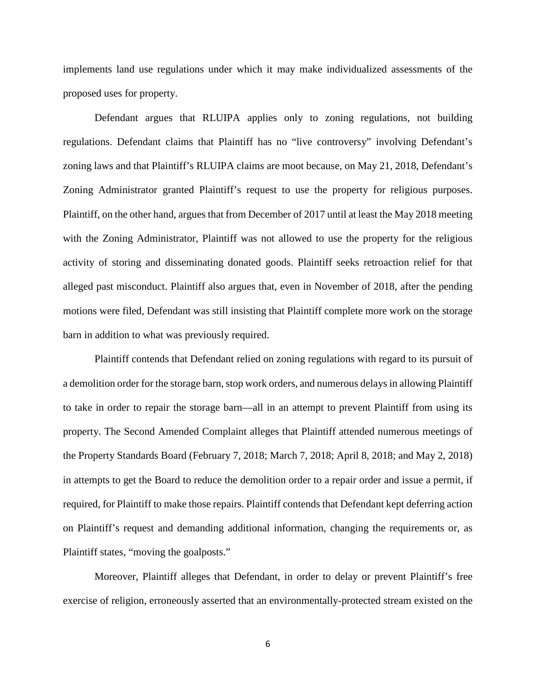implements land use regulations under which it may make individualized assessments of the proposed uses for property.

Defendant argues that RLUIPA applies only to zoning regulations, not building regulations. Defendant claims that Plaintiff has no "live controversy" involving Defendant's zoning laws and that Plaintiff's RLUIPA claims are moot because, on May 21, 2018, Defendant's Zoning Administrator granted Plaintiff's request to use the property for religious purposes. Plaintiff, on the other hand, argues that from December of 2017 until at least the May 2018 meeting with the Zoning Administrator, Plaintiff was not allowed to use the property for the religious activity of storing and disseminating donated goods. Plaintiff seeks retroaction relief for that alleged past misconduct. Plaintiff also argues that, even in November of 2018, after the pending motions were filed, Defendant was still insisting that Plaintiff complete more work on the storage barn in addition to what was previously required.

Plaintiff contends that Defendant relied on zoning regulations with regard to its pursuit of a demolition order for the storage barn, stop work orders, and numerous delays in allowing Plaintiff to take in order to repair the storage barn—all in an attempt to prevent Plaintiff from using its property. The Second Amended Complaint alleges that Plaintiff attended numerous meetings of the Property Standards Board (February 7, 2018; March 7, 2018; April 8, 2018; and May 2, 2018) in attempts to get the Board to reduce the demolition order to a repair order and issue a permit, if required, for Plaintiff to make those repairs. Plaintiff contends that Defendant kept deferring action on Plaintiff's request and demanding additional information, changing the requirements or, as Plaintiff states, "moving the goalposts."

 Moreover, Plaintiff alleges that Defendant, in order to delay or prevent Plaintiff's free exercise of religion, erroneously asserted that an environmentally-protected stream existed on the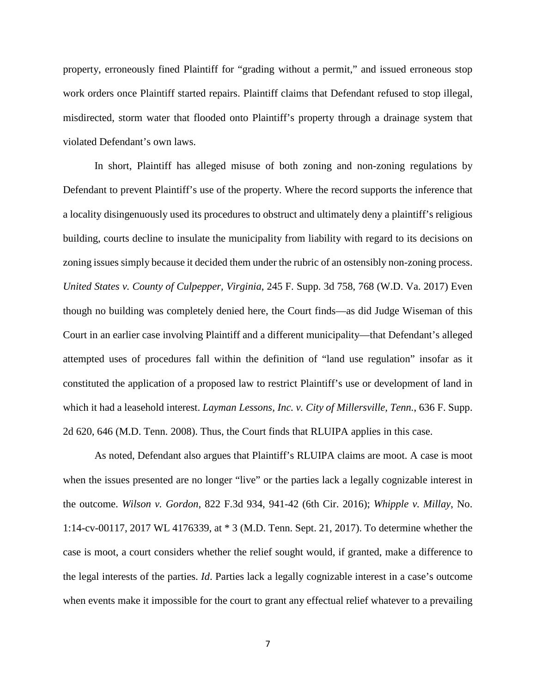property, erroneously fined Plaintiff for "grading without a permit," and issued erroneous stop work orders once Plaintiff started repairs. Plaintiff claims that Defendant refused to stop illegal, misdirected, storm water that flooded onto Plaintiff's property through a drainage system that violated Defendant's own laws.

In short, Plaintiff has alleged misuse of both zoning and non-zoning regulations by Defendant to prevent Plaintiff's use of the property. Where the record supports the inference that a locality disingenuously used its procedures to obstruct and ultimately deny a plaintiff's religious building, courts decline to insulate the municipality from liability with regard to its decisions on zoning issues simply because it decided them under the rubric of an ostensibly non-zoning process. *United States v. County of Culpepper, Virginia*, 245 F. Supp. 3d 758, 768 (W.D. Va. 2017) Even though no building was completely denied here, the Court finds—as did Judge Wiseman of this Court in an earlier case involving Plaintiff and a different municipality—that Defendant's alleged attempted uses of procedures fall within the definition of "land use regulation" insofar as it constituted the application of a proposed law to restrict Plaintiff's use or development of land in which it had a leasehold interest. *Layman Lessons, Inc. v. City of Millersville, Tenn.*, 636 F. Supp. 2d 620, 646 (M.D. Tenn. 2008). Thus, the Court finds that RLUIPA applies in this case.

As noted, Defendant also argues that Plaintiff's RLUIPA claims are moot. A case is moot when the issues presented are no longer "live" or the parties lack a legally cognizable interest in the outcome. *Wilson v. Gordon*, 822 F.3d 934, 941-42 (6th Cir. 2016); *Whipple v. Millay*, No. 1:14-cv-00117, 2017 WL 4176339, at \* 3 (M.D. Tenn. Sept. 21, 2017). To determine whether the case is moot, a court considers whether the relief sought would, if granted, make a difference to the legal interests of the parties. *Id*. Parties lack a legally cognizable interest in a case's outcome when events make it impossible for the court to grant any effectual relief whatever to a prevailing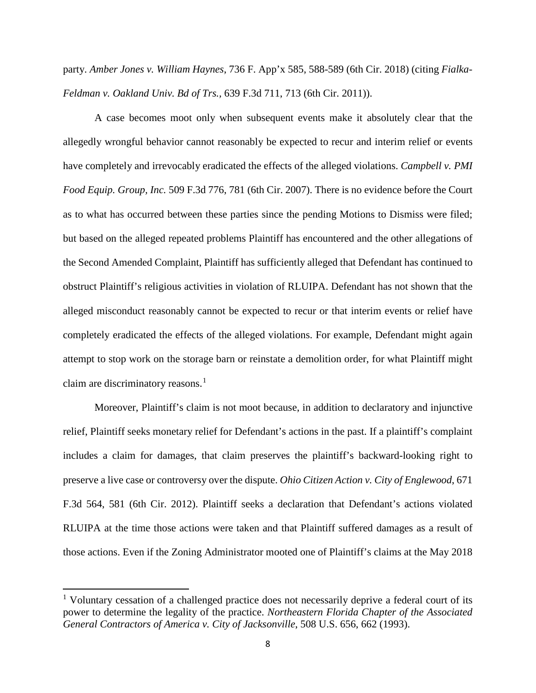party. *Amber Jones v. William Haynes*, 736 F. App'x 585, 588-589 (6th Cir. 2018) (citing *Fialka-Feldman v. Oakland Univ. Bd of Trs.,* 639 F.3d 711, 713 (6th Cir. 2011)).

A case becomes moot only when subsequent events make it absolutely clear that the allegedly wrongful behavior cannot reasonably be expected to recur and interim relief or events have completely and irrevocably eradicated the effects of the alleged violations. *Campbell v. PMI Food Equip. Group, Inc.* 509 F.3d 776, 781 (6th Cir. 2007). There is no evidence before the Court as to what has occurred between these parties since the pending Motions to Dismiss were filed; but based on the alleged repeated problems Plaintiff has encountered and the other allegations of the Second Amended Complaint, Plaintiff has sufficiently alleged that Defendant has continued to obstruct Plaintiff's religious activities in violation of RLUIPA. Defendant has not shown that the alleged misconduct reasonably cannot be expected to recur or that interim events or relief have completely eradicated the effects of the alleged violations. For example, Defendant might again attempt to stop work on the storage barn or reinstate a demolition order, for what Plaintiff might claim are discriminatory reasons. 1

 Moreover, Plaintiff's claim is not moot because, in addition to declaratory and injunctive relief, Plaintiff seeks monetary relief for Defendant's actions in the past. If a plaintiff's complaint includes a claim for damages, that claim preserves the plaintiff's backward-looking right to preserve a live case or controversy over the dispute. *Ohio Citizen Action v. City of Englewood*, 671 F.3d 564, 581 (6th Cir. 2012). Plaintiff seeks a declaration that Defendant's actions violated RLUIPA at the time those actions were taken and that Plaintiff suffered damages as a result of those actions. Even if the Zoning Administrator mooted one of Plaintiff's claims at the May 2018

<sup>&</sup>lt;sup>1</sup> Voluntary cessation of a challenged practice does not necessarily deprive a federal court of its power to determine the legality of the practice. *Northeastern Florida Chapter of the Associated General Contractors of America v. City of Jacksonville*, 508 U.S. 656, 662 (1993).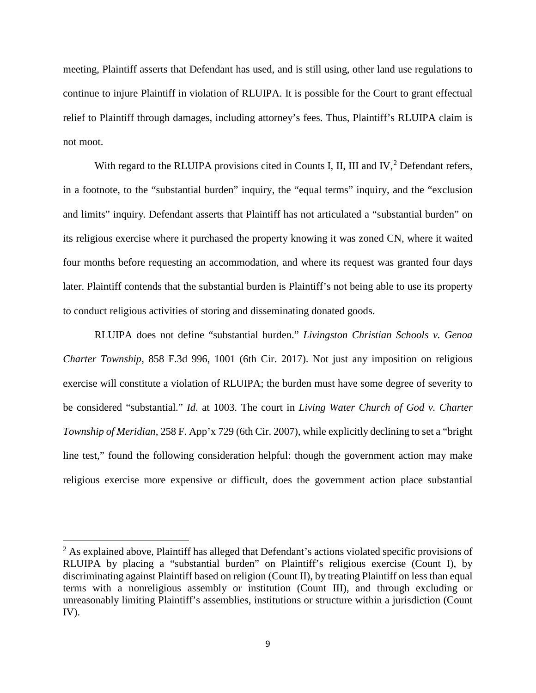meeting, Plaintiff asserts that Defendant has used, and is still using, other land use regulations to continue to injure Plaintiff in violation of RLUIPA. It is possible for the Court to grant effectual relief to Plaintiff through damages, including attorney's fees. Thus, Plaintiff's RLUIPA claim is not moot.

With regard to the RLUIPA provisions cited in Counts I, II, III and IV,  $2$  Defendant refers, in a footnote, to the "substantial burden" inquiry, the "equal terms" inquiry, and the "exclusion and limits" inquiry. Defendant asserts that Plaintiff has not articulated a "substantial burden" on its religious exercise where it purchased the property knowing it was zoned CN, where it waited four months before requesting an accommodation, and where its request was granted four days later. Plaintiff contends that the substantial burden is Plaintiff's not being able to use its property to conduct religious activities of storing and disseminating donated goods.

RLUIPA does not define "substantial burden." *Livingston Christian Schools v. Genoa Charter Township*, 858 F.3d 996, 1001 (6th Cir. 2017). Not just any imposition on religious exercise will constitute a violation of RLUIPA; the burden must have some degree of severity to be considered "substantial." *Id*. at 1003. The court in *Living Water Church of God v. Charter Township of Meridian*, 258 F. App'x 729 (6th Cir. 2007), while explicitly declining to set a "bright line test," found the following consideration helpful: though the government action may make religious exercise more expensive or difficult, does the government action place substantial

<sup>&</sup>lt;sup>2</sup> As explained above, Plaintiff has alleged that Defendant's actions violated specific provisions of RLUIPA by placing a "substantial burden" on Plaintiff's religious exercise (Count I), by discriminating against Plaintiff based on religion (Count II), by treating Plaintiff on less than equal terms with a nonreligious assembly or institution (Count III), and through excluding or unreasonably limiting Plaintiff's assemblies, institutions or structure within a jurisdiction (Count IV).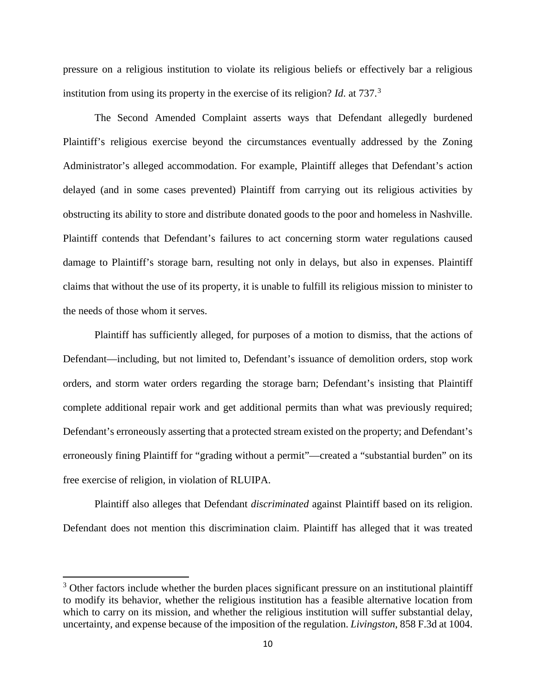pressure on a religious institution to violate its religious beliefs or effectively bar a religious institution from using its property in the exercise of its religion? *Id*. at 737.<sup>3</sup>

The Second Amended Complaint asserts ways that Defendant allegedly burdened Plaintiff's religious exercise beyond the circumstances eventually addressed by the Zoning Administrator's alleged accommodation. For example, Plaintiff alleges that Defendant's action delayed (and in some cases prevented) Plaintiff from carrying out its religious activities by obstructing its ability to store and distribute donated goods to the poor and homeless in Nashville. Plaintiff contends that Defendant's failures to act concerning storm water regulations caused damage to Plaintiff's storage barn, resulting not only in delays, but also in expenses. Plaintiff claims that without the use of its property, it is unable to fulfill its religious mission to minister to the needs of those whom it serves.

Plaintiff has sufficiently alleged, for purposes of a motion to dismiss, that the actions of Defendant—including, but not limited to, Defendant's issuance of demolition orders, stop work orders, and storm water orders regarding the storage barn; Defendant's insisting that Plaintiff complete additional repair work and get additional permits than what was previously required; Defendant's erroneously asserting that a protected stream existed on the property; and Defendant's erroneously fining Plaintiff for "grading without a permit"—created a "substantial burden" on its free exercise of religion, in violation of RLUIPA.

Plaintiff also alleges that Defendant *discriminated* against Plaintiff based on its religion. Defendant does not mention this discrimination claim. Plaintiff has alleged that it was treated

 $3$  Other factors include whether the burden places significant pressure on an institutional plaintiff to modify its behavior, whether the religious institution has a feasible alternative location from which to carry on its mission, and whether the religious institution will suffer substantial delay, uncertainty, and expense because of the imposition of the regulation. *Livingston*, 858 F.3d at 1004.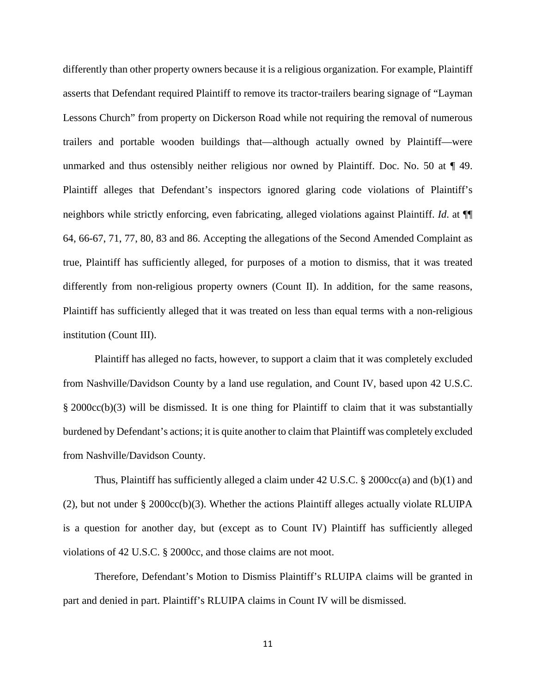differently than other property owners because it is a religious organization. For example, Plaintiff asserts that Defendant required Plaintiff to remove its tractor-trailers bearing signage of "Layman Lessons Church" from property on Dickerson Road while not requiring the removal of numerous trailers and portable wooden buildings that—although actually owned by Plaintiff—were unmarked and thus ostensibly neither religious nor owned by Plaintiff. Doc. No. 50 at ¶ 49. Plaintiff alleges that Defendant's inspectors ignored glaring code violations of Plaintiff's neighbors while strictly enforcing, even fabricating, alleged violations against Plaintiff. *Id*. at ¶¶ 64, 66-67, 71, 77, 80, 83 and 86. Accepting the allegations of the Second Amended Complaint as true, Plaintiff has sufficiently alleged, for purposes of a motion to dismiss, that it was treated differently from non-religious property owners (Count II). In addition, for the same reasons, Plaintiff has sufficiently alleged that it was treated on less than equal terms with a non-religious institution (Count III).

Plaintiff has alleged no facts, however, to support a claim that it was completely excluded from Nashville/Davidson County by a land use regulation, and Count IV, based upon 42 U.S.C. § 2000cc(b)(3) will be dismissed. It is one thing for Plaintiff to claim that it was substantially burdened by Defendant's actions; it is quite another to claim that Plaintiff was completely excluded from Nashville/Davidson County.

Thus, Plaintiff has sufficiently alleged a claim under 42 U.S.C. § 2000cc(a) and (b)(1) and (2), but not under § 2000 $\text{cc}(b)(3)$ . Whether the actions Plaintiff alleges actually violate RLUIPA is a question for another day, but (except as to Count IV) Plaintiff has sufficiently alleged violations of 42 U.S.C. § 2000cc, and those claims are not moot.

Therefore, Defendant's Motion to Dismiss Plaintiff's RLUIPA claims will be granted in part and denied in part. Plaintiff's RLUIPA claims in Count IV will be dismissed.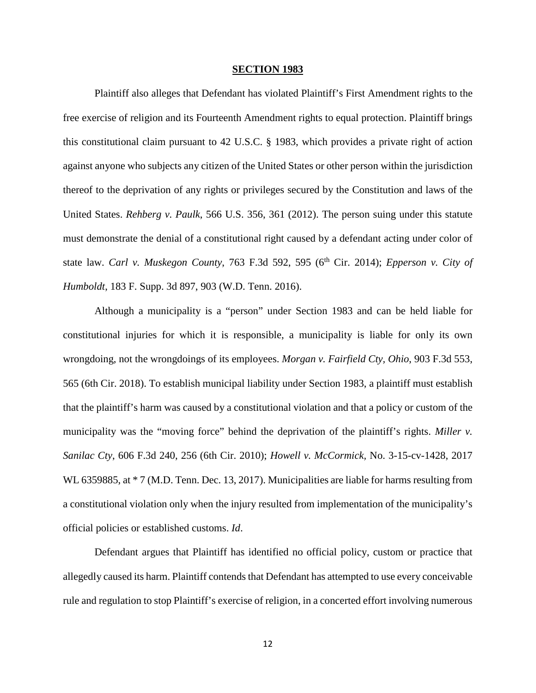#### **SECTION 1983**

Plaintiff also alleges that Defendant has violated Plaintiff's First Amendment rights to the free exercise of religion and its Fourteenth Amendment rights to equal protection. Plaintiff brings this constitutional claim pursuant to 42 U.S.C. § 1983, which provides a private right of action against anyone who subjects any citizen of the United States or other person within the jurisdiction thereof to the deprivation of any rights or privileges secured by the Constitution and laws of the United States. *Rehberg v. Paulk*, 566 U.S. 356, 361 (2012). The person suing under this statute must demonstrate the denial of a constitutional right caused by a defendant acting under color of state law. *Carl v. Muskegon County*, 763 F.3d 592, 595 (6<sup>th</sup> Cir. 2014); *Epperson v. City of Humboldt*, 183 F. Supp. 3d 897, 903 (W.D. Tenn. 2016).

Although a municipality is a "person" under Section 1983 and can be held liable for constitutional injuries for which it is responsible, a municipality is liable for only its own wrongdoing, not the wrongdoings of its employees. *Morgan v. Fairfield Cty, Ohio*, 903 F.3d 553, 565 (6th Cir. 2018). To establish municipal liability under Section 1983, a plaintiff must establish that the plaintiff's harm was caused by a constitutional violation and that a policy or custom of the municipality was the "moving force" behind the deprivation of the plaintiff's rights. *Miller v. Sanilac Cty*, 606 F.3d 240, 256 (6th Cir. 2010); *Howell v. McCormick,* No. 3-15-cv-1428, 2017 WL 6359885, at  $*$  7 (M.D. Tenn. Dec. 13, 2017). Municipalities are liable for harms resulting from a constitutional violation only when the injury resulted from implementation of the municipality's official policies or established customs. *Id*.

Defendant argues that Plaintiff has identified no official policy, custom or practice that allegedly caused its harm. Plaintiff contends that Defendant has attempted to use every conceivable rule and regulation to stop Plaintiff's exercise of religion, in a concerted effort involving numerous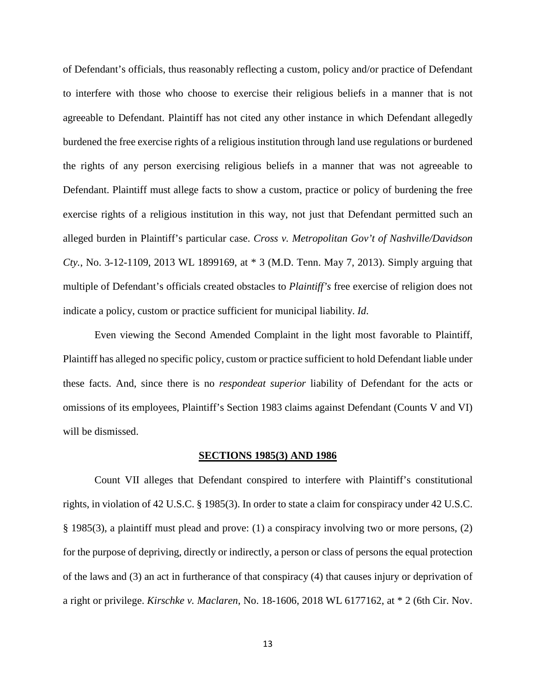of Defendant's officials, thus reasonably reflecting a custom, policy and/or practice of Defendant to interfere with those who choose to exercise their religious beliefs in a manner that is not agreeable to Defendant. Plaintiff has not cited any other instance in which Defendant allegedly burdened the free exercise rights of a religious institution through land use regulations or burdened the rights of any person exercising religious beliefs in a manner that was not agreeable to Defendant. Plaintiff must allege facts to show a custom, practice or policy of burdening the free exercise rights of a religious institution in this way, not just that Defendant permitted such an alleged burden in Plaintiff's particular case. *Cross v. Metropolitan Gov't of Nashville/Davidson Cty.*, No. 3-12-1109, 2013 WL 1899169, at \* 3 (M.D. Tenn. May 7, 2013). Simply arguing that multiple of Defendant's officials created obstacles to *Plaintiff's* free exercise of religion does not indicate a policy, custom or practice sufficient for municipal liability. *Id*.

Even viewing the Second Amended Complaint in the light most favorable to Plaintiff, Plaintiff has alleged no specific policy, custom or practice sufficient to hold Defendant liable under these facts. And, since there is no *respondeat superior* liability of Defendant for the acts or omissions of its employees, Plaintiff's Section 1983 claims against Defendant (Counts V and VI) will be dismissed.

#### **SECTIONS 1985(3) AND 1986**

Count VII alleges that Defendant conspired to interfere with Plaintiff's constitutional rights, in violation of 42 U.S.C. § 1985(3). In order to state a claim for conspiracy under 42 U.S.C. § 1985(3), a plaintiff must plead and prove: (1) a conspiracy involving two or more persons, (2) for the purpose of depriving, directly or indirectly, a person or class of persons the equal protection of the laws and (3) an act in furtherance of that conspiracy (4) that causes injury or deprivation of a right or privilege. *Kirschke v. Maclaren*, No. 18-1606, 2018 WL 6177162, at \* 2 (6th Cir. Nov.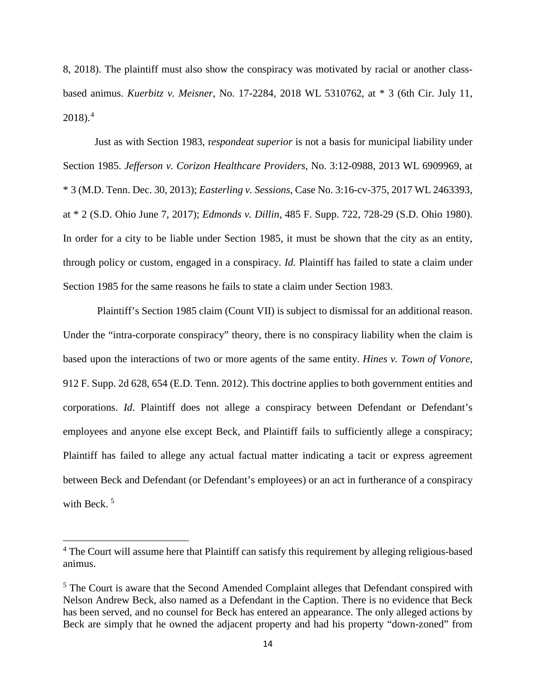8, 2018). The plaintiff must also show the conspiracy was motivated by racial or another classbased animus. *Kuerbitz v. Meisner*, No. 17-2284, 2018 WL 5310762, at \* 3 (6th Cir. July 11,  $2018$ ).<sup>4</sup>

Just as with Section 1983, r*espondeat superior* is not a basis for municipal liability under Section 1985. *Jefferson v. Corizon Healthcare Providers,* No. 3:12-0988, 2013 WL 6909969, at \* 3 (M.D. Tenn. Dec. 30, 2013); *Easterling v. Sessions*, Case No. 3:16-cv-375, 2017 WL 2463393, at \* 2 (S.D. Ohio June 7, 2017); *Edmonds v. Dillin*, 485 F. Supp. 722, 728-29 (S.D. Ohio 1980). In order for a city to be liable under Section 1985, it must be shown that the city as an entity, through policy or custom, engaged in a conspiracy. *Id.* Plaintiff has failed to state a claim under Section 1985 for the same reasons he fails to state a claim under Section 1983.

Plaintiff's Section 1985 claim (Count VII) is subject to dismissal for an additional reason. Under the "intra-corporate conspiracy" theory, there is no conspiracy liability when the claim is based upon the interactions of two or more agents of the same entity. *Hines v. Town of Vonore*, 912 F. Supp. 2d 628, 654 (E.D. Tenn. 2012). This doctrine applies to both government entities and corporations. *Id*. Plaintiff does not allege a conspiracy between Defendant or Defendant's employees and anyone else except Beck, and Plaintiff fails to sufficiently allege a conspiracy; Plaintiff has failed to allege any actual factual matter indicating a tacit or express agreement between Beck and Defendant (or Defendant's employees) or an act in furtherance of a conspiracy with Beck.<sup>5</sup>

l

<sup>&</sup>lt;sup>4</sup> The Court will assume here that Plaintiff can satisfy this requirement by alleging religious-based animus.

 $<sup>5</sup>$  The Court is aware that the Second Amended Complaint alleges that Defendant conspired with</sup> Nelson Andrew Beck, also named as a Defendant in the Caption. There is no evidence that Beck has been served, and no counsel for Beck has entered an appearance. The only alleged actions by Beck are simply that he owned the adjacent property and had his property "down-zoned" from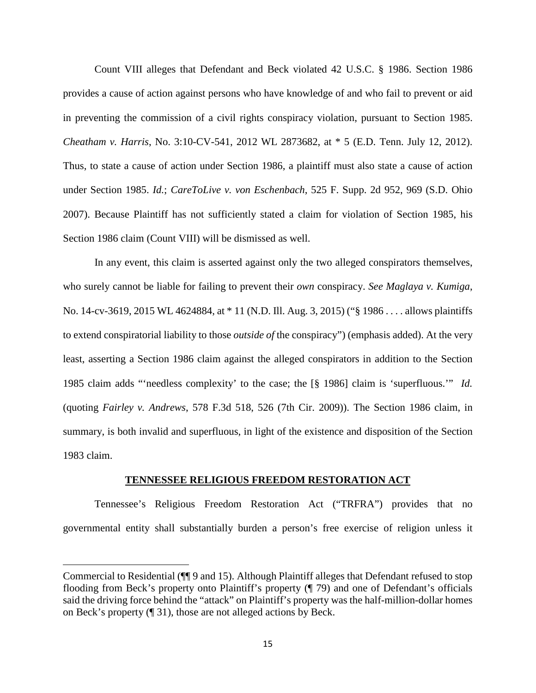Count VIII alleges that Defendant and Beck violated 42 U.S.C. § 1986. Section 1986 provides a cause of action against persons who have knowledge of and who fail to prevent or aid in preventing the commission of a civil rights conspiracy violation, pursuant to Section 1985. *Cheatham v. Harris*, No. 3:10-CV-541, 2012 WL 2873682, at \* 5 (E.D. Tenn. July 12, 2012). Thus, to state a cause of action under Section 1986, a plaintiff must also state a cause of action under Section 1985. *Id.*; *CareToLive v. von Eschenbach*, 525 F. Supp. 2d 952, 969 (S.D. Ohio 2007). Because Plaintiff has not sufficiently stated a claim for violation of Section 1985, his Section 1986 claim (Count VIII) will be dismissed as well.

In any event, this claim is asserted against only the two alleged conspirators themselves, who surely cannot be liable for failing to prevent their *own* conspiracy. *See Maglaya v. Kumiga*, No. 14-cv-3619, 2015 WL 4624884, at \* 11 (N.D. Ill. Aug. 3, 2015) ("§ 1986 . . . . allows plaintiffs to extend conspiratorial liability to those *outside of* the conspiracy") (emphasis added). At the very least, asserting a Section 1986 claim against the alleged conspirators in addition to the Section 1985 claim adds "'needless complexity' to the case; the [§ 1986] claim is 'superfluous.'" *Id.*  (quoting *Fairley v. Andrews*, 578 F.3d 518, 526 (7th Cir. 2009)). The Section 1986 claim, in summary, is both invalid and superfluous, in light of the existence and disposition of the Section 1983 claim.

# **TENNESSEE RELIGIOUS FREEDOM RESTORATION ACT**

Tennessee's Religious Freedom Restoration Act ("TRFRA") provides that no governmental entity shall substantially burden a person's free exercise of religion unless it

Commercial to Residential (¶¶ 9 and 15). Although Plaintiff alleges that Defendant refused to stop flooding from Beck's property onto Plaintiff's property (¶ 79) and one of Defendant's officials said the driving force behind the "attack" on Plaintiff's property was the half-million-dollar homes on Beck's property (¶ 31), those are not alleged actions by Beck.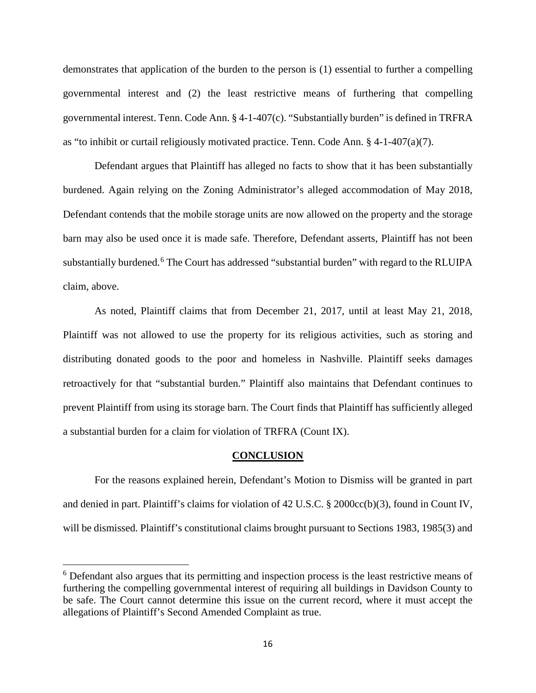demonstrates that application of the burden to the person is (1) essential to further a compelling governmental interest and (2) the least restrictive means of furthering that compelling governmental interest. Tenn. Code Ann. § 4-1-407(c). "Substantially burden" is defined in TRFRA as "to inhibit or curtail religiously motivated practice. Tenn. Code Ann. § 4-1-407(a)(7).

Defendant argues that Plaintiff has alleged no facts to show that it has been substantially burdened. Again relying on the Zoning Administrator's alleged accommodation of May 2018, Defendant contends that the mobile storage units are now allowed on the property and the storage barn may also be used once it is made safe. Therefore, Defendant asserts, Plaintiff has not been substantially burdened.<sup>6</sup> The Court has addressed "substantial burden" with regard to the RLUIPA claim, above.

As noted, Plaintiff claims that from December 21, 2017, until at least May 21, 2018, Plaintiff was not allowed to use the property for its religious activities, such as storing and distributing donated goods to the poor and homeless in Nashville. Plaintiff seeks damages retroactively for that "substantial burden." Plaintiff also maintains that Defendant continues to prevent Plaintiff from using its storage barn. The Court finds that Plaintiff has sufficiently alleged a substantial burden for a claim for violation of TRFRA (Count IX).

#### **CONCLUSION**

For the reasons explained herein, Defendant's Motion to Dismiss will be granted in part and denied in part. Plaintiff's claims for violation of 42 U.S.C. § 2000cc(b)(3), found in Count IV, will be dismissed. Plaintiff's constitutional claims brought pursuant to Sections 1983, 1985(3) and

<sup>6</sup> Defendant also argues that its permitting and inspection process is the least restrictive means of furthering the compelling governmental interest of requiring all buildings in Davidson County to be safe. The Court cannot determine this issue on the current record, where it must accept the allegations of Plaintiff's Second Amended Complaint as true.